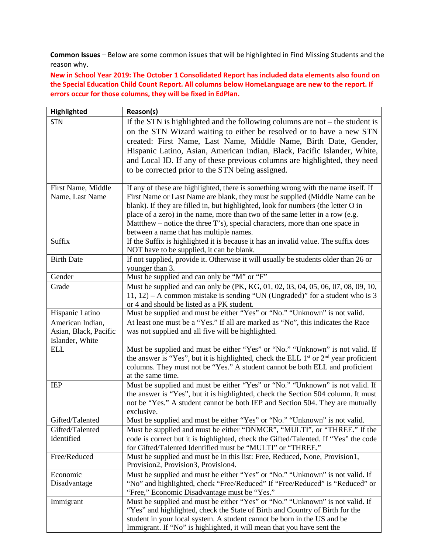**Common Issues** – Below are some common issues that will be highlighted in Find Missing Students and the reason why.

**New in School Year 2019: The October 1 Consolidated Report has included data elements also found on the Special Education Child Count Report. All columns below HomeLanguage are new to the report. If errors occur for those columns, they will be fixed in EdPlan.** 

| Highlighted           | Reason(s)                                                                                                                                         |
|-----------------------|---------------------------------------------------------------------------------------------------------------------------------------------------|
| <b>STN</b>            | If the STN is highlighted and the following columns are not $-$ the student is                                                                    |
|                       | on the STN Wizard waiting to either be resolved or to have a new STN                                                                              |
|                       | created: First Name, Last Name, Middle Name, Birth Date, Gender,                                                                                  |
|                       | Hispanic Latino, Asian, American Indian, Black, Pacific Islander, White,                                                                          |
|                       | and Local ID. If any of these previous columns are highlighted, they need                                                                         |
|                       | to be corrected prior to the STN being assigned.                                                                                                  |
|                       |                                                                                                                                                   |
| First Name, Middle    | If any of these are highlighted, there is something wrong with the name itself. If                                                                |
| Name, Last Name       | First Name or Last Name are blank, they must be supplied (Middle Name can be                                                                      |
|                       | blank). If they are filled in, but highlighted, look for numbers (the letter O in                                                                 |
|                       | place of a zero) in the name, more than two of the same letter in a row (e.g.                                                                     |
|                       | Matthew – notice the three T's), special characters, more than one space in                                                                       |
|                       | between a name that has multiple names.                                                                                                           |
| Suffix                | If the Suffix is highlighted it is because it has an invalid value. The suffix does                                                               |
|                       | NOT have to be supplied, it can be blank.                                                                                                         |
| <b>Birth Date</b>     | If not supplied, provide it. Otherwise it will usually be students older than 26 or                                                               |
|                       | younger than 3.                                                                                                                                   |
| Gender                | Must be supplied and can only be "M" or "F"                                                                                                       |
| Grade                 | Must be supplied and can only be (PK, KG, 01, 02, 03, 04, 05, 06, 07, 08, 09, 10,                                                                 |
|                       | 11, 12) – A common mistake is sending "UN (Ungraded)" for a student who is 3                                                                      |
|                       | or 4 and should be listed as a PK student.                                                                                                        |
| Hispanic Latino       | Must be supplied and must be either "Yes" or "No." "Unknown" is not valid.                                                                        |
| American Indian,      | At least one must be a "Yes." If all are marked as "No", this indicates the Race                                                                  |
| Asian, Black, Pacific | was not supplied and all five will be highlighted.                                                                                                |
| Islander, White       |                                                                                                                                                   |
| <b>ELL</b>            | Must be supplied and must be either "Yes" or "No." "Unknown" is not valid. If                                                                     |
|                       | the answer is "Yes", but it is highlighted, check the ELL $1st$ or $2nd$ year proficient                                                          |
|                       | columns. They must not be "Yes." A student cannot be both ELL and proficient                                                                      |
|                       | at the same time.                                                                                                                                 |
| <b>IEP</b>            | Must be supplied and must be either "Yes" or "No." "Unknown" is not valid. If                                                                     |
|                       | the answer is "Yes", but it is highlighted, check the Section 504 column. It must                                                                 |
|                       | not be "Yes." A student cannot be both IEP and Section 504. They are mutually                                                                     |
| Gifted/Talented       | exclusive.                                                                                                                                        |
|                       | Must be supplied and must be either "Yes" or "No." "Unknown" is not valid.                                                                        |
| Gifted/Talented       | Must be supplied and must be either "DNMCR", "MULTI", or "THREE." If the                                                                          |
| Identified            | code is correct but it is highlighted, check the Gifted/Talented. If "Yes" the code<br>for Gifted/Talented Identified must be "MULTI" or "THREE." |
| Free/Reduced          | Must be supplied and must be in this list: Free, Reduced, None, Provision1,                                                                       |
|                       | Provision2, Provision3, Provision4.                                                                                                               |
| Economic              | Must be supplied and must be either "Yes" or "No." "Unknown" is not valid. If                                                                     |
| Disadvantage          | "No" and highlighted, check "Free/Reduced" If "Free/Reduced" is "Reduced" or                                                                      |
|                       | "Free," Economic Disadvantage must be "Yes."                                                                                                      |
| Immigrant             | Must be supplied and must be either "Yes" or "No." "Unknown" is not valid. If                                                                     |
|                       | "Yes" and highlighted, check the State of Birth and Country of Birth for the                                                                      |
|                       | student in your local system. A student cannot be born in the US and be                                                                           |
|                       | Immigrant. If "No" is highlighted, it will mean that you have sent the                                                                            |